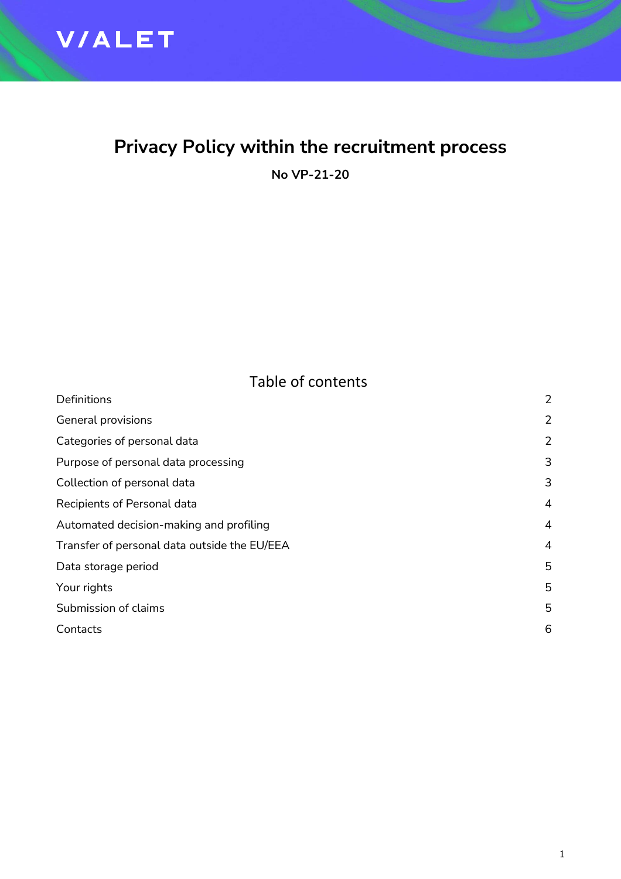

## **Privacy Policy within the recruitment process**

**No VP-21-20**

| Table of contents |  |  |  |
|-------------------|--|--|--|
|                   |  |  |  |

| Definitions                                  | 2              |
|----------------------------------------------|----------------|
| General provisions                           | $\overline{2}$ |
| Categories of personal data                  | $\overline{2}$ |
| Purpose of personal data processing          | 3              |
| Collection of personal data                  | 3              |
| Recipients of Personal data                  | $\overline{4}$ |
| Automated decision-making and profiling      | $\overline{4}$ |
| Transfer of personal data outside the EU/EEA | $\overline{4}$ |
| Data storage period                          | 5              |
| Your rights                                  | 5              |
| Submission of claims                         | 5              |
| Contacts                                     | 6              |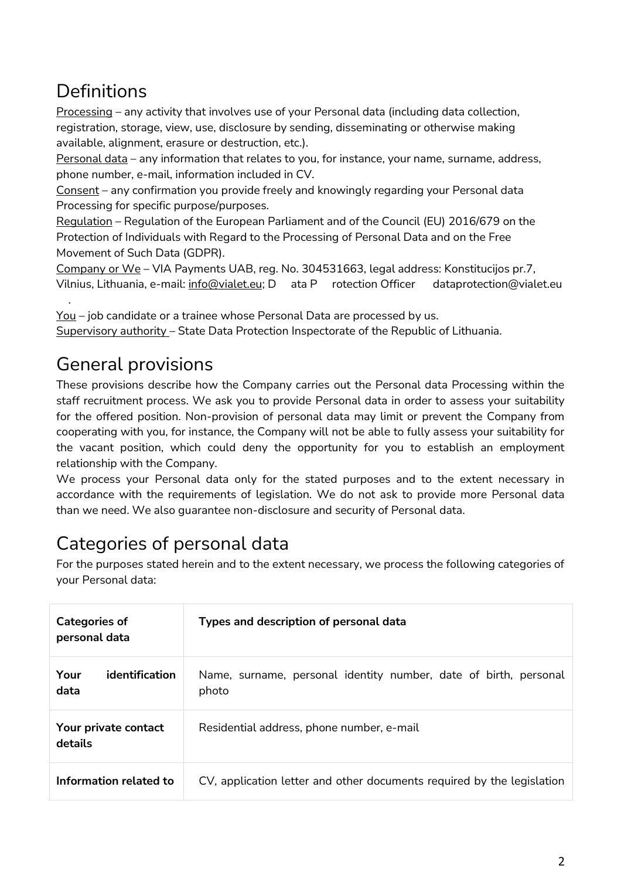# **Definitions**

Processing – any activity that involves use of your Personal data (including data collection, registration, storage, view, use, disclosure by sending, disseminating or otherwise making available, alignment, erasure or destruction, etc.).

Personal data - any information that relates to you, for instance, your name, surname, address, phone number, e-mail, information included in CV.

Consent – any confirmation you provide freely and knowingly regarding your Personal data Processing for specific purpose/purposes.

Regulation – Regulation of the European Parliament and of the Council (EU) 2016/679 on the Protection of Individuals with Regard to the Processing of Personal Data and on the Free Movement of Such Data (GDPR).

Company or We – VIA Payments UAB, reg. No. 304531663, legal address: Konstitucijos pr.7, Vilnius, Lithuania, e-mail: [info@vialet.eu;](mailto:info@vialet.eu) D ata P rotection Officer dataprotection@vialet.eu .

You – job candidate or a trainee whose Personal Data are processed by us. Supervisory authority – State Data Protection Inspectorate of the Republic of Lithuania.

## General provisions

These provisions describe how the Company carries out the Personal data Processing within the staff recruitment process. We ask you to provide Personal data in order to assess your suitability for the offered position. Non-provision of personal data may limit or prevent the Company from cooperating with you, for instance, the Company will not be able to fully assess your suitability for the vacant position, which could deny the opportunity for you to establish an employment relationship with the Company.

We process your Personal data only for the stated purposes and to the extent necessary in accordance with the requirements of legislation. We do not ask to provide more Personal data than we need. We also guarantee non-disclosure and security of Personal data.

# Categories of personal data

For the purposes stated herein and to the extent necessary, we process the following categories of your Personal data:

| <b>Categories of</b><br>personal data | Types and description of personal data                                    |  |
|---------------------------------------|---------------------------------------------------------------------------|--|
| Your<br>identification<br>data        | Name, surname, personal identity number, date of birth, personal<br>photo |  |
| Your private contact<br>details       | Residential address, phone number, e-mail                                 |  |
| Information related to                | CV, application letter and other documents required by the legislation    |  |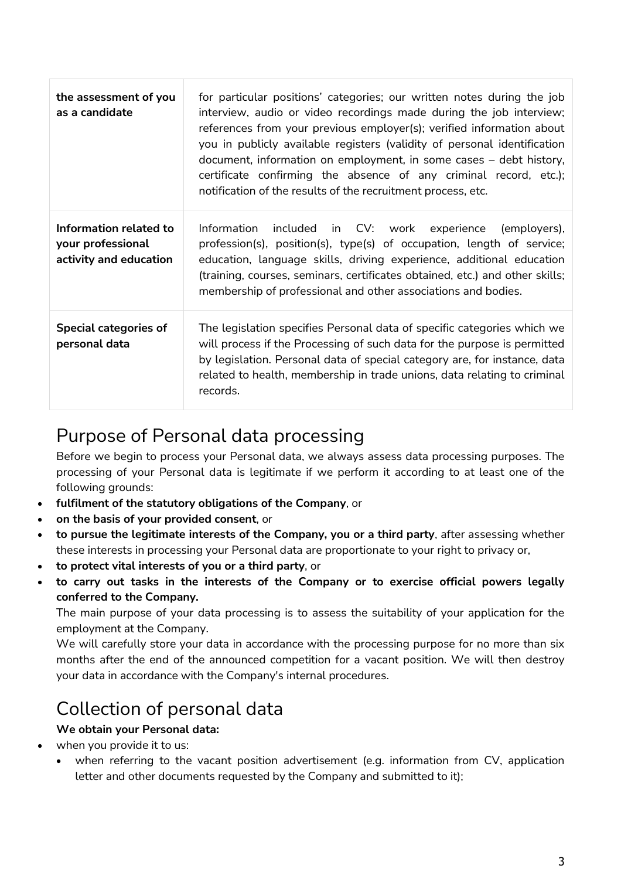| the assessment of you<br>as a candidate                               | for particular positions' categories; our written notes during the job<br>interview, audio or video recordings made during the job interview;<br>references from your previous employer(s); verified information about<br>you in publicly available registers (validity of personal identification<br>document, information on employment, in some cases $-$ debt history,<br>certificate confirming the absence of any criminal record, etc.);<br>notification of the results of the recruitment process, etc. |
|-----------------------------------------------------------------------|-----------------------------------------------------------------------------------------------------------------------------------------------------------------------------------------------------------------------------------------------------------------------------------------------------------------------------------------------------------------------------------------------------------------------------------------------------------------------------------------------------------------|
| Information related to<br>your professional<br>activity and education | Information<br>included in CV: work experience (employers),<br>profession(s), position(s), type(s) of occupation, length of service;<br>education, language skills, driving experience, additional education<br>(training, courses, seminars, certificates obtained, etc.) and other skills;<br>membership of professional and other associations and bodies.                                                                                                                                                   |
| <b>Special categories of</b><br>personal data                         | The legislation specifies Personal data of specific categories which we<br>will process if the Processing of such data for the purpose is permitted<br>by legislation. Personal data of special category are, for instance, data<br>related to health, membership in trade unions, data relating to criminal<br>records.                                                                                                                                                                                        |

#### Purpose of Personal data processing

Before we begin to process your Personal data, we always assess data processing purposes. The processing of your Personal data is legitimate if we perform it according to at least one of the following grounds:

- **fulfilment of the statutory obligations of the Company**, or
- **on the basis of your provided consent**, or
- **to pursue the legitimate interests of the Company, you or a third party**, after assessing whether these interests in processing your Personal data are proportionate to your right to privacy or,
- **to protect vital interests of you or a third party**, or
- **to carry out tasks in the interests of the Company or to exercise official powers legally conferred to the Company.**

The main purpose of your data processing is to assess the suitability of your application for the employment at the Company.

We will carefully store your data in accordance with the processing purpose for no more than six months after the end of the announced competition for a vacant position. We will then destroy your data in accordance with the Company's internal procedures.

#### Collection of personal data

#### **We obtain your Personal data:**

- when you provide it to us:
	- when referring to the vacant position advertisement (e.g. information from CV, application letter and other documents requested by the Company and submitted to it);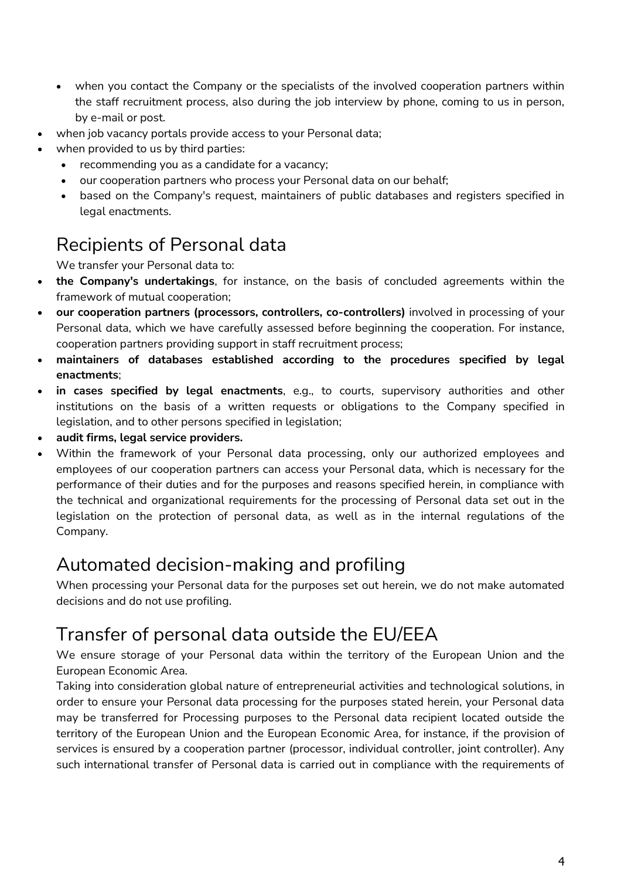- when you contact the Company or the specialists of the involved cooperation partners within the staff recruitment process, also during the job interview by phone, coming to us in person, by e-mail or post.
- when job vacancy portals provide access to your Personal data;
- when provided to us by third parties:
	- recommending you as a candidate for a vacancy;
	- our cooperation partners who process your Personal data on our behalf;
	- based on the Company's request, maintainers of public databases and registers specified in legal enactments.

### Recipients of Personal data

We transfer your Personal data to:

- **the Company's undertakings**, for instance, on the basis of concluded agreements within the framework of mutual cooperation;
- **our cooperation partners (processors, controllers, co-controllers)** involved in processing of your Personal data, which we have carefully assessed before beginning the cooperation. For instance, cooperation partners providing support in staff recruitment process;
- **maintainers of databases established according to the procedures specified by legal enactments**;
- **in cases specified by legal enactments**, e.g., to courts, supervisory authorities and other institutions on the basis of a written requests or obligations to the Company specified in legislation, and to other persons specified in legislation;
- **audit firms, legal service providers.**
- Within the framework of your Personal data processing, only our authorized employees and employees of our cooperation partners can access your Personal data, which is necessary for the performance of their duties and for the purposes and reasons specified herein, in compliance with the technical and organizational requirements for the processing of Personal data set out in the legislation on the protection of personal data, as well as in the internal regulations of the Company.

#### Automated decision-making and profiling

When processing your Personal data for the purposes set out herein, we do not make automated decisions and do not use profiling.

### Transfer of personal data outside the EU/EEA

We ensure storage of your Personal data within the territory of the European Union and the European Economic Area.

Taking into consideration global nature of entrepreneurial activities and technological solutions, in order to ensure your Personal data processing for the purposes stated herein, your Personal data may be transferred for Processing purposes to the Personal data recipient located outside the territory of the European Union and the European Economic Area, for instance, if the provision of services is ensured by a cooperation partner (processor, individual controller, joint controller). Any such international transfer of Personal data is carried out in compliance with the requirements of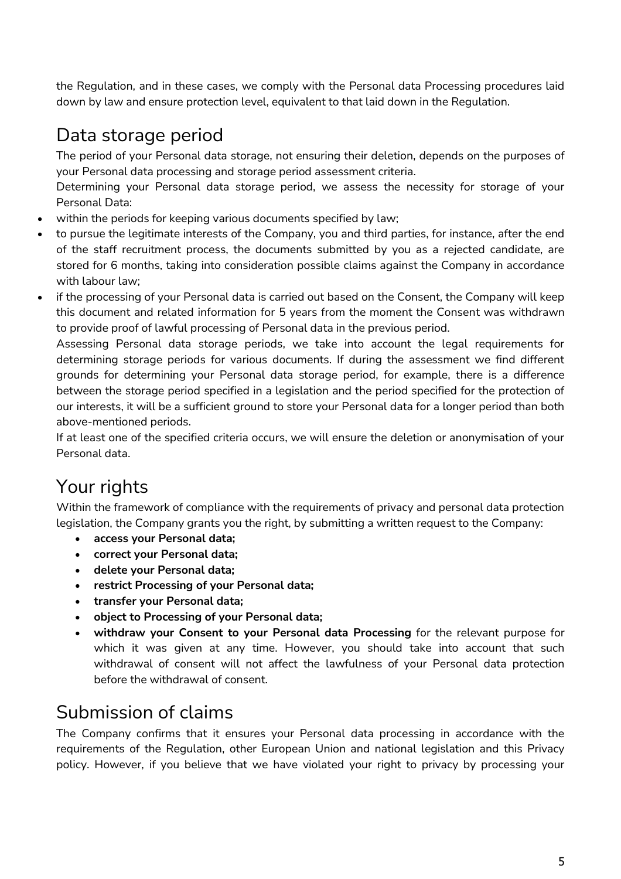the Regulation, and in these cases, we comply with the Personal data Processing procedures laid down by law and ensure protection level, equivalent to that laid down in the Regulation.

## Data storage period

The period of your Personal data storage, not ensuring their deletion, depends on the purposes of your Personal data processing and storage period assessment criteria.

Determining your Personal data storage period, we assess the necessity for storage of your Personal Data:

- within the periods for keeping various documents specified by law;
- to pursue the legitimate interests of the Company, you and third parties, for instance, after the end of the staff recruitment process, the documents submitted by you as a rejected candidate, are stored for 6 months, taking into consideration possible claims against the Company in accordance with labour law;
- if the processing of your Personal data is carried out based on the Consent, the Company will keep this document and related information for 5 years from the moment the Consent was withdrawn to provide proof of lawful processing of Personal data in the previous period.

Assessing Personal data storage periods, we take into account the legal requirements for determining storage periods for various documents. If during the assessment we find different grounds for determining your Personal data storage period, for example, there is a difference between the storage period specified in a legislation and the period specified for the protection of our interests, it will be a sufficient ground to store your Personal data for a longer period than both above-mentioned periods.

If at least one of the specified criteria occurs, we will ensure the deletion or anonymisation of your Personal data.

# Your rights

Within the framework of compliance with the requirements of privacy and personal data protection legislation, the Company grants you the right, by submitting a written request to the Company:

- **access your Personal data;**
- **correct your Personal data;**
- **delete your Personal data;**
- **restrict Processing of your Personal data;**
- **transfer your Personal data;**
- **object to Processing of your Personal data;**
- **withdraw your Consent to your Personal data Processing** for the relevant purpose for which it was given at any time. However, you should take into account that such withdrawal of consent will not affect the lawfulness of your Personal data protection before the withdrawal of consent.

### Submission of claims

The Company confirms that it ensures your Personal data processing in accordance with the requirements of the Regulation, other European Union and national legislation and this Privacy policy. However, if you believe that we have violated your right to privacy by processing your